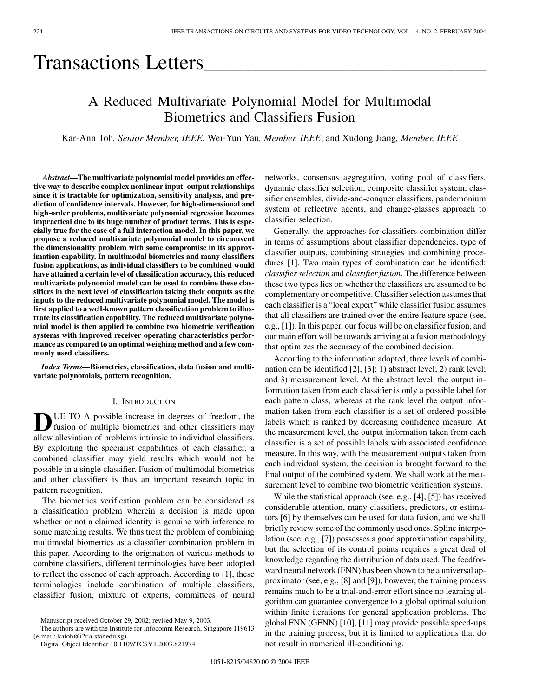# Transactions Letters

## A Reduced Multivariate Polynomial Model for Multimodal Biometrics and Classifiers Fusion

Kar-Ann Toh*, Senior Member, IEEE*, Wei-Yun Yau*, Member, IEEE*, and Xudong Jiang*, Member, IEEE*

*Abstract—***The multivariate polynomial model provides an effective way to describe complex nonlinear input–output relationships since it is tractable for optimization, sensitivity analysis, and prediction of confidence intervals. However, for high-dimensional and high-order problems, multivariate polynomial regression becomes impractical due to its huge number of product terms. This is especially true for the case of a full interaction model. In this paper, we propose a reduced multivariate polynomial model to circumvent the dimensionality problem with some compromise in its approximation capability. In multimodal biometrics and many classifiers fusion applications, as individual classifiers to be combined would have attained a certain level of classification accuracy, this reduced multivariate polynomial model can be used to combine these classifiers in the next level of classification taking their outputs as the inputs to the reduced multivariate polynomial model. The model is first applied to a well-known pattern classification problem to illustrate its classification capability. The reduced multivariate polynomial model is then applied to combine two biometric verification systems with improved receiver operating characteristics performance as compared to an optimal weighing method and a few commonly used classifiers.**

*Index Terms—***Biometrics, classification, data fusion and multivariate polynomials, pattern recognition.**

## I. INTRODUCTION

**D**UE TO A possible increase in degrees of freedom, the fusion of multiple biometrics and other classifiers may allow alleviation of problems intrinsic to individual classifiers. By exploiting the specialist capabilities of each classifier, a combined classifier may yield results which would not be possible in a single classifier. Fusion of multimodal biometrics and other classifiers is thus an important research topic in pattern recognition.

The biometrics verification problem can be considered as a classification problem wherein a decision is made upon whether or not a claimed identity is genuine with inference to some matching results. We thus treat the problem of combining multimodal biometrics as a classifier combination problem in this paper. According to the origination of various methods to combine classifiers, different terminologies have been adopted to reflect the essence of each approach. According to [\[1](#page-9-0)], these terminologies include combination of multiple classifiers, classifier fusion, mixture of experts, committees of neural networks, consensus aggregation, voting pool of classifiers, dynamic classifier selection, composite classifier system, classifier ensembles, divide-and-conquer classifiers, pandemonium system of reflective agents, and change-glasses approach to classifier selection.

Generally, the approaches for classifiers combination differ in terms of assumptions about classifier dependencies, type of classifier outputs, combining strategies and combining procedures [[1\]](#page-9-0). Two main types of combination can be identified: *classifier selection* and *classifier fusion*. The difference between these two types lies on whether the classifiers are assumed to be complementary or competitive. Classifier selection assumes that each classifier is a "local expert" while classifier fusion assumes that all classifiers are trained over the entire feature space (see, e.g., [\[1](#page-9-0)]). In this paper, our focus will be on classifier fusion, and our main effort will be towards arriving at a fusion methodology that optimizes the accuracy of the combined decision.

According to the information adopted, three levels of combination can be identified [[2\]](#page-9-0), [\[3](#page-9-0)]: 1) abstract level; 2) rank level; and 3) measurement level. At the abstract level, the output information taken from each classifier is only a possible label for each pattern class, whereas at the rank level the output information taken from each classifier is a set of ordered possible labels which is ranked by decreasing confidence measure. At the measurement level, the output information taken from each classifier is a set of possible labels with associated confidence measure. In this way, with the measurement outputs taken from each individual system, the decision is brought forward to the final output of the combined system. We shall work at the measurement level to combine two biometric verification systems.

While the statistical approach (see, e.g., [\[4](#page-9-0)], [[5\]](#page-9-0)) has received considerable attention, many classifiers, predictors, or estimators [[6\]](#page-9-0) by themselves can be used for data fusion, and we shall briefly review some of the commonly used ones. Spline interpolation (see, e.g., [[7\]](#page-9-0)) possesses a good approximation capability, but the selection of its control points requires a great deal of knowledge regarding the distribution of data used. The feedforward neural network (FNN) has been shown to be a universal approximator (see, e.g., [\[8](#page-9-0)] and [[9\]](#page-9-0)), however, the training process remains much to be a trial-and-error effort since no learning algorithm can guarantee convergence to a global optimal solution within finite iterations for general application problems. The global FNN (GFNN) [\[10](#page-9-0)], [[11\]](#page-9-0) may provide possible speed-ups in the training process, but it is limited to applications that do not result in numerical ill-conditioning.

Manuscript received October 29, 2002; revised May 9, 2003.

The authors are with the Institute for Infocomm Research, Singapore 119613 (e-mail: katoh@i2r.a-star.edu.sg).

Digital Object Identifier 10.1109/TCSVT.2003.821974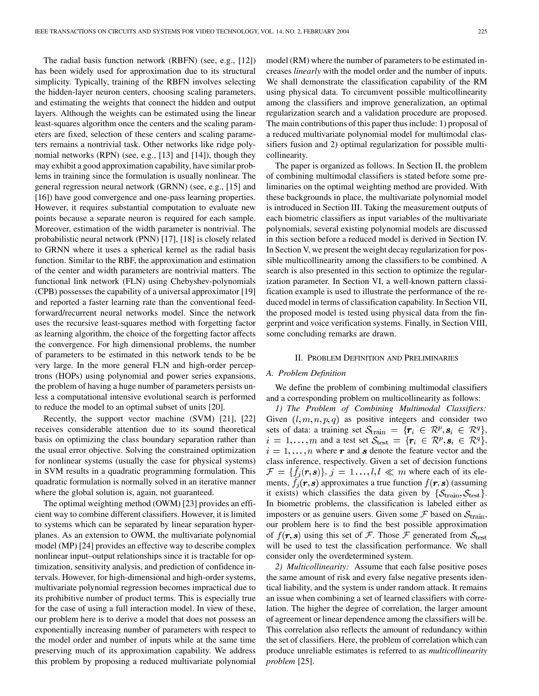The radial basis function network (RBFN) (see, e.g., [\[12](#page-9-0)]) has been widely used for approximation due to its structural simplicity. Typically, training of the RBFN involves selecting the hidden-layer neuron centers, choosing scaling parameters, and estimating the weights that connect the hidden and output layers. Although the weights can be estimated using the linear least-squares algorithm once the centers and the scaling parameters are fixed, selection of these centers and scaling parameters remains a nontrivial task. Other networks like ridge polynomial networks (RPN) (see, e.g., [[13\]](#page-9-0) and [[14\]](#page-9-0)), though they may exhibit a good approximation capability, have similar problems in training since the formulation is usually nonlinear. The general regression neural network (GRNN) (see, e.g., [\[15](#page-9-0)] and [[16\]](#page-9-0)) have good convergence and one-pass learning properties. However, it requires substantial computation to evaluate new points because a separate neuron is required for each sample. Moreover, estimation of the width parameter is nontrivial. The probabilistic neural network (PNN) [[17\]](#page-9-0), [\[18](#page-9-0)] is closely related to GRNN where it uses a spherical kernel as the radial basis function. Similar to the RBF, the approximation and estimation of the center and width parameters are nontrivial matters. The functional link network (FLN) using Chebyshev-polynomials (CPB) possesses the capability of a universal approximator [\[19](#page-9-0)] and reported a faster learning rate than the conventional feedforward/recurrent neural networks model. Since the network uses the recursive least-squares method with forgetting factor as learning algorithm, the choice of the forgetting factor affects the convergence. For high dimensional problems, the number of parameters to be estimated in this network tends to be be very large. In the more general FLN and high-order perceptrons (HOPs) using polynomial and power series expansions, the problem of having a huge number of parameters persists unless a computational intensive evolutional search is performed to reduce the model to an optimal subset of units [\[20](#page-9-0)].

Recently, the support vector machine (SVM) [[21\]](#page-9-0), [\[22](#page-9-0)] receives considerable attention due to its sound theoretical basis on optimizing the class boundary separation rather than the usual error objective. Solving the constrained optimization for nonlinear systems (usually the case for physical systems) in SVM results in a quadratic programming formulation. This quadratic formulation is normally solved in an iterative manner where the global solution is, again, not guaranteed.

The optimal weighting method (OWM) [[23\]](#page-9-0) provides an efficient way to combine different classifiers. However, it is limited to systems which can be separated by linear separation hyperplanes. As an extension to OWM, the multivariate polynomial model (MP) [\[24](#page-9-0)] provides an effective way to describe complex nonlinear input–output relationships since it is tractable for optimization, sensitivity analysis, and prediction of confidence intervals. However, for high-dimensional and high-order systems, multivariate polynomial regression becomes impractical due to its prohibitive number of product terms. This is especially true for the case of using a full interaction model. In view of these, our problem here is to derive a model that does not possess an exponentially increasing number of parameters with respect to the model order and number of inputs while at the same time preserving much of its approximation capability. We address this problem by proposing a reduced multivariate polynomial model (RM) where the number of parameters to be estimated increases *linearly* with the model order and the number of inputs. We shall demonstrate the classification capability of the RM using physical data. To circumvent possible multicollinearity among the classifiers and improve generalization, an optimal regularization search and a validation procedure are proposed. The main contributions of this paper thus include: 1) proposal of a reduced multivariate polynomial model for multimodal classifiers fusion and 2) optimal regularization for possible multicollinearity.

The paper is organized as follows. In Section II, the problem of combining multimodal classifiers is stated before some preliminaries on the optimal weighting method are provided. With these backgrounds in place, the multivariate polynomial model is introduced in Section III. Taking the measurement outputs of each biometric classifiers as input variables of the multivariate polynomials, several existing polynomial models are discussed in this section before a reduced model is derived in Section IV. In Section V, we present the weight decay regularization for possible multicollinearity among the classifiers to be combined. A search is also presented in this section to optimize the regularization parameter. In Section VI, a well-known pattern classification example is used to illustrate the performance of the reduced model in terms of classification capability. In Section VII, the proposed model is tested using physical data from the fingerprint and voice verification systems. Finally, in Section VIII, some concluding remarks are drawn.

#### II. PROBLEM DEFINITION AND PRELIMINARIES

#### *A. Problem Definition*

We define the problem of combining multimodal classifiers and a corresponding problem on multicollinearity as follows:

*1) The Problem of Combining Multimodal Classifiers:* Given  $(l, m, n, p, q)$  as positive integers and consider two sets of data: a training set  $\mathcal{S}_{\text{train}} = \{r_i \in \mathcal{R}^p, s_i \in \mathcal{R}^q\},\$  $i = 1, \ldots, m$  and a test set  $\mathcal{S}_{\text{test}} = \{r_i \in \mathcal{R}^p, s_i \in \mathcal{R}^q\},\$  $i = 1, \ldots, n$  where r and s denote the feature vector and the class inference, respectively. Given a set of decision functions  $\mathcal{F} = \{f_i(\mathbf{r}, \mathbf{s})\}, j = 1, \ldots, l, l \ll m$  where each of its elements,  $f_j(\mathbf{r}, \mathbf{s})$  approximates a true function  $f(\mathbf{r}, \mathbf{s})$  (assuming it exists) which classifies the data given by  $\{S_{\text{train}}, S_{\text{test}}\}.$ In biometric problems, the classification is labeled either as imposters or as genuine users. Given some  $\mathcal F$  based on  $\mathcal S_{\text{train}}$ , our problem here is to find the best possible approximation of  $f(\mathbf{r}, \mathbf{s})$  using this set of  $\mathcal{F}$ . Those  $\mathcal{F}$  generated from  $\mathcal{S}_{\text{test}}$ will be used to test the classification performance. We shall consider only the overdetermined system.

*2) Multicollinearity:* Assume that each false positive poses the same amount of risk and every false negative presents identical liability, and the system is under random attack. It remains an issue when combining a set of learned classifiers with correlation. The higher the degree of correlation, the larger amount of agreement or linear dependence among the classifiers will be. This correlation also reflects the amount of redundancy within the set of classifiers. Here, the problem of correlation which can produce unreliable estimates is referred to as *multicollinearity problem* [[25\]](#page-9-0).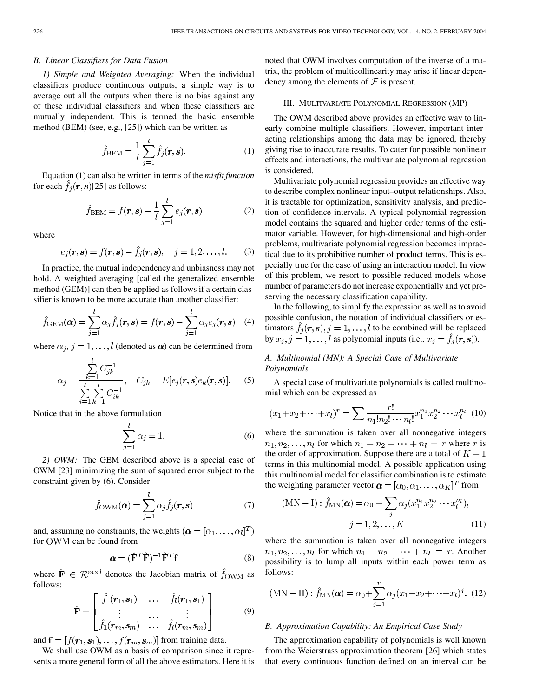#### *B. Linear Classifiers for Data Fusion*

*1) Simple and Weighted Averaging:* When the individual classifiers produce continuous outputs, a simple way is to average out all the outputs when there is no bias against any of these individual classifiers and when these classifiers are mutually independent. This is termed the basic ensemble method (BEM) (see, e.g., [\[25](#page-9-0)]) which can be written as

$$
\hat{f}_{\text{BEM}} = \frac{1}{l} \sum_{j=1}^{l} \hat{f}_j(\boldsymbol{r}, \boldsymbol{s}). \tag{1}
$$

Equation (1) can also be written in terms of the *misfit function* for each  $f_i(\mathbf{r}, \mathbf{s})$ [[25\]](#page-9-0) as follows:

$$
\hat{f}_{\text{BEM}} = f(\mathbf{r}, \mathbf{s}) - \frac{1}{l} \sum_{j=1}^{l} e_j(\mathbf{r}, \mathbf{s})
$$
(2)

where

$$
e_j(\mathbf{r}, \mathbf{s}) = f(\mathbf{r}, \mathbf{s}) - \hat{f}_j(\mathbf{r}, \mathbf{s}), \quad j = 1, 2, \dots, l. \tag{3}
$$

In practice, the mutual independency and unbiasness may not hold. A weighted averaging [called the generalized ensemble method (GEM)] can then be applied as follows if a certain classifier is known to be more accurate than another classifier:

$$
\hat{f}_{\text{GEM}}(\boldsymbol{\alpha}) = \sum_{j=1}^{l} \alpha_j \hat{f}_j(\boldsymbol{r}, \boldsymbol{s}) = f(\boldsymbol{r}, \boldsymbol{s}) - \sum_{j=1}^{l} \alpha_j e_j(\boldsymbol{r}, \boldsymbol{s}) \quad (4)
$$

where  $\alpha_j$ ,  $j = 1, \ldots, l$  (denoted as  $\alpha$ ) can be determined from

$$
\alpha_j = \frac{\sum_{k=1}^{t} C_{jk}^{-1}}{\sum_{i=1}^{l} \sum_{k=1}^{t} C_{ik}^{-1}}, \quad C_{jk} = E[e_j(\mathbf{r}, \mathbf{s})e_k(\mathbf{r}, \mathbf{s})]. \tag{5}
$$

Notice that in the above formulation

$$
\sum_{j=1}^{l} \alpha_j = 1.
$$
\n(6)

*2) OWM:* The GEM described above is a special case of OWM [\[23](#page-9-0)] minimizing the sum of squared error subject to the constraint given by (6). Consider

$$
\hat{f}_{\text{OWM}}(\boldsymbol{\alpha}) = \sum_{j=1}^{l} \alpha_j \hat{f}_j(\boldsymbol{r}, \boldsymbol{s}) \tag{7}
$$

and, assuming no constraints, the weights  $(\boldsymbol{\alpha} = [\alpha_1, \dots, \alpha_l]^T)$ for OWM can be found from

$$
\alpha = (\hat{\mathbf{F}}^T \hat{\mathbf{F}})^{-1} \hat{\mathbf{F}}^T \mathbf{f}
$$
 (8)

where  $\hat{\mathbf{F}} \in \mathcal{R}^{m \times l}$  denotes the Jacobian matrix of  $\hat{f}_{\text{OWM}}$  as follows:

$$
\hat{\mathbf{F}} = \begin{bmatrix} \hat{f}_1(\mathbf{r}_1, \mathbf{s}_1) & \dots & \hat{f}_l(\mathbf{r}_1, \mathbf{s}_1) \\ \vdots & \dots & \vdots \\ \hat{f}_1(\mathbf{r}_m, \mathbf{s}_m) & \dots & \hat{f}_l(\mathbf{r}_m, \mathbf{s}_m) \end{bmatrix}
$$
(9)

and  $f = [f(r_1, s_1), \ldots, f(r_m, s_m)]$  from training data.

We shall use OWM as a basis of comparison since it represents a more general form of all the above estimators. Here it is noted that OWM involves computation of the inverse of a matrix, the problem of multicollinearity may arise if linear dependency among the elements of  $\mathcal F$  is present.

## III. MULTIVARIATE POLYNOMIAL REGRESSION (MP)

The OWM described above provides an effective way to linearly combine multiple classifiers. However, important interacting relationships among the data may be ignored, thereby giving rise to inaccurate results. To cater for possible nonlinear effects and interactions, the multivariate polynomial regression is considered.

Multivariate polynomial regression provides an effective way to describe complex nonlinear input–output relationships. Also, it is tractable for optimization, sensitivity analysis, and prediction of confidence intervals. A typical polynomial regression model contains the squared and higher order terms of the estimator variable. However, for high-dimensional and high-order problems, multivariate polynomial regression becomes impractical due to its prohibitive number of product terms. This is especially true for the case of using an interaction model. In view of this problem, we resort to possible reduced models whose number of parameters do not increase exponentially and yet preserving the necessary classification capability.

In the following, to simplify the expression as well as to avoid possible confusion, the notation of individual classifiers or estimators  $\hat{f}_i(\mathbf{r}, \mathbf{s}), j = 1, \dots, l$  to be combined will be replaced by  $x_j$ ,  $j = 1, ..., l$  as polynomial inputs (i.e.,  $x_j = \hat{f}_j(\mathbf{r}, \mathbf{s})$ ).

## *A. Multinomial (MN): A Special Case of Multivariate Polynomials*

A special case of multivariate polynomials is called multinomial which can be expressed as

$$
(x_1 + x_2 + \dots + x_l)^r = \sum \frac{r!}{n_1! n_2! \cdots n_l!} x_1^{n_1} x_2^{n_2} \cdots x_l^{n_l}
$$
 (10)

where the summation is taken over all nonnegative integers  $n_1, n_2, \ldots, n_l$  for which  $n_1 + n_2 + \cdots + n_l = r$  where r is the order of approximation. Suppose there are a total of  $K + 1$ terms in this multinomial model. A possible application using this multinomial model for classifier combination is to estimate the weighting parameter vector  $\boldsymbol{\alpha} = [\alpha_0, \alpha_1, \dots, \alpha_K]^T$  from

$$
(MN - I) : \hat{f}_{MN}(\boldsymbol{\alpha}) = \alpha_0 + \sum_j \alpha_j (x_1^{n_1} x_2^{n_2} \cdots x_l^{n_l}),
$$

$$
j = 1, 2, \dots, K
$$
(11)

where the summation is taken over all nonnegative integers  $n_1, n_2, \ldots, n_l$  for which  $n_1 + n_2 + \cdots + n_l = r$ . Another possibility is to lump all inputs within each power term as follows:

$$
(MN - II) : \hat{f}_{MN}(\boldsymbol{\alpha}) = \alpha_0 + \sum_{j=1}^r \alpha_j (x_1 + x_2 + \dots + x_l)^j. (12)
$$

## *B. Approximation Capability: An Empirical Case Study*

The approximation capability of polynomials is well known from the Weierstrass approximation theorem [[26\]](#page-9-0) which states that every continuous function defined on an interval can be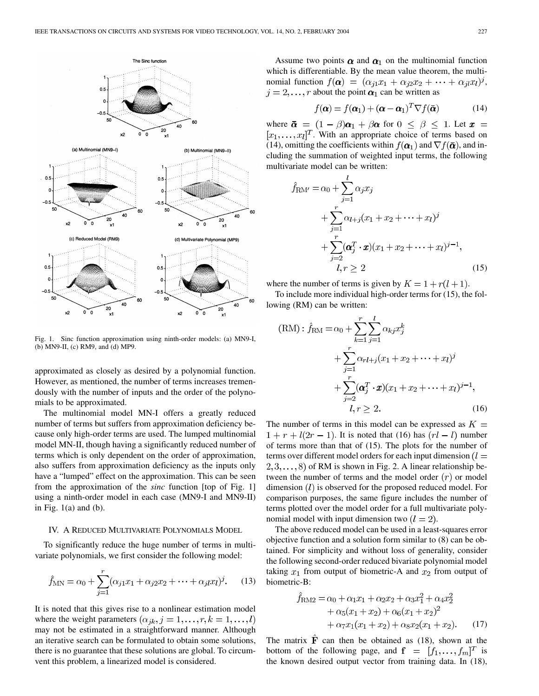

Fig. 1. Sinc function approximation using ninth-order models: (a) MN9-I, (b) MN9-II, (c) RM9, and (d) MP9.

approximated as closely as desired by a polynomial function. However, as mentioned, the number of terms increases tremendously with the number of inputs and the order of the polynomials to be approximated.

The multinomial model MN-I offers a greatly reduced number of terms but suffers from approximation deficiency because only high-order terms are used. The lumped multinomial model MN-II, though having a significantly reduced number of terms which is only dependent on the order of approximation, also suffers from approximation deficiency as the inputs only have a "lumped" effect on the approximation. This can be seen from the approximation of the *sinc* function [top of Fig. 1] using a ninth-order model in each case (MN9-I and MN9-II) in Fig.  $1(a)$  and  $(b)$ .

## IV. A REDUCED MULTIVARIATE POLYNOMIALS MODEL

To significantly reduce the huge number of terms in multivariate polynomials, we first consider the following model:

$$
\hat{f}_{\rm MN} = \alpha_0 + \sum_{j=1}^{r} (\alpha_{j1} x_1 + \alpha_{j2} x_2 + \dots + \alpha_{jl} x_l)^j.
$$
 (13)

It is noted that this gives rise to a nonlinear estimation model where the weight parameters  $(\alpha_{jk}, j = 1, \ldots, r, k = 1, \ldots, l)$ may not be estimated in a straightforward manner. Although an iterative search can be formulated to obtain some solutions, there is no guarantee that these solutions are global. To circumvent this problem, a linearized model is considered.

Assume two points  $\alpha$  and  $\alpha_1$  on the multinomial function which is differentiable. By the mean value theorem, the multinomial function  $f(\boldsymbol{\alpha}) = (\alpha_{i1}x_1 + \alpha_{i2}x_2 + \cdots + \alpha_{i}x_i)^j$ ,  $j = 2, \dots, r$  about the point  $\alpha_1$  can be written as

$$
f(\boldsymbol{\alpha}) = f(\boldsymbol{\alpha}_1) + (\boldsymbol{\alpha} - \boldsymbol{\alpha}_1)^T \nabla f(\bar{\boldsymbol{\alpha}})
$$
 (14)

where  $\bar{\boldsymbol{\alpha}} = (1-\beta)\boldsymbol{\alpha}_1 + \beta\boldsymbol{\alpha}$  for  $0 \leq \beta \leq 1$ . Let . With an appropriate choice of terms based on (14), omitting the coefficients within  $f(\boldsymbol{\alpha}_1)$  and  $\nabla f(\boldsymbol{\bar{\alpha}})$ , and including the summation of weighted input terms, the following multivariate model can be written:

$$
\hat{f}_{\text{RM}'} = \alpha_0 + \sum_{j=1}^{l} \alpha_j x_j
$$
\n
$$
+ \sum_{j=1}^{r} \alpha_{l+j} (x_1 + x_2 + \dots + x_l)^j
$$
\n
$$
+ \sum_{j=2}^{r} (\alpha_j^T \cdot x)(x_1 + x_2 + \dots + x_l)^{j-1},
$$
\n
$$
l, r \ge 2
$$
\n(15)

where the number of terms is given by  $K = 1 + r(l + 1)$ .

To include more individual high-order terms for (15), the following (RM) can be written:

$$
\text{(RM)}: \hat{f}_{\text{RM}} = \alpha_0 + \sum_{k=1}^r \sum_{j=1}^l \alpha_{kj} x_j^k + \sum_{j=1}^r \alpha_{rl+j} (x_1 + x_2 + \dots + x_l)^j + \sum_{j=2}^r (\alpha_j^T \cdot \mathbf{x}) (x_1 + x_2 + \dots + x_l)^{j-1},
$$
\n
$$
l, r \ge 2. \tag{16}
$$

The number of terms in this model can be expressed as  $K =$  $1 + r + l(2r - 1)$ . It is noted that (16) has  $rl - l$ ) number of terms more than that of (15). The plots for the number of terms over different model orders for each input dimension  $(l =$  $(2, 3, \ldots, 8)$  of RM is shown in Fig. 2. A linear relationship between the number of terms and the model order  $(r)$  or model dimension  $(l)$  is observed for the proposed reduced model. For comparison purposes, the same figure includes the number of terms plotted over the model order for a full multivariate polynomial model with input dimension two  $(l = 2)$ .

The above reduced model can be used in a least-squares error objective function and a solution form similar to (8) can be obtained. For simplicity and without loss of generality, consider the following second-order reduced bivariate polynomial model taking  $x_1$  from output of biometric-A and  $x_2$  from output of biometric-B:

$$
\hat{f}_{\text{RM2}} = \alpha_0 + \alpha_1 x_1 + \alpha_2 x_2 + \alpha_3 x_1^2 + \alpha_4 x_2^2 \n+ \alpha_5 (x_1 + x_2) + \alpha_6 (x_1 + x_2)^2 \n+ \alpha_7 x_1 (x_1 + x_2) + \alpha_8 x_2 (x_1 + x_2).
$$
\n(17)

The matrix  $\hat{F}$  can then be obtained as (18), shown at the bottom of the following page, and  $f = [f_1, \dots, f_m]^T$  is the known desired output vector from training data. In (18),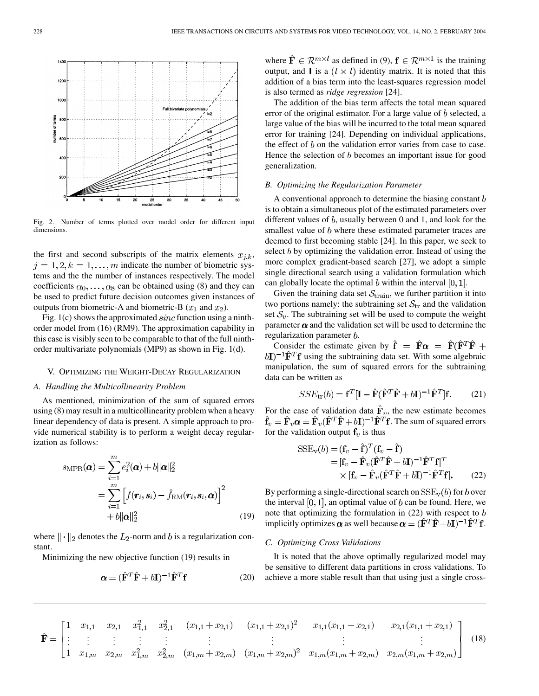

Fig. 2. Number of terms plotted over model order for different input dimensions.

the first and second subscripts of the matrix elements  $x_{i,k}$ ,  $j = 1, 2, k = 1, \ldots, m$  indicate the number of biometric systems and the the number of instances respectively. The model coefficients  $\alpha_0, \ldots, \alpha_8$  can be obtained using (8) and they can be used to predict future decision outcomes given instances of outputs from biometric-A and biometric-B  $(x_1$  and  $x_2)$ .

Fig. 1(c) shows the approximated *sinc* function using a ninthorder model from (16) (RM9). The approximation capability in this case is visibly seen to be comparable to that of the full ninthorder multivariate polynomials (MP9) as shown in Fig. 1(d).

## V. OPTIMIZING THE WEIGHT-DECAY REGULARIZATION

#### *A. Handling the Multicollinearity Problem*

As mentioned, minimization of the sum of squared errors using (8) may result in a multicollinearity problem when a heavy linear dependency of data is present. A simple approach to provide numerical stability is to perform a weight decay regularization as follows:

$$
s_{\text{MPR}}(\boldsymbol{\alpha}) = \sum_{i=1}^{m} e_i^2(\boldsymbol{\alpha}) + b \|\boldsymbol{\alpha}\|_2^2
$$
  
= 
$$
\sum_{i=1}^{m} \left[ f(\boldsymbol{r}_i, \boldsymbol{s}_i) - \hat{f}_{\text{RM}}(\boldsymbol{r}_i, \boldsymbol{s}_i, \boldsymbol{\alpha}) \right]^2
$$
  
+ 
$$
b \|\boldsymbol{\alpha}\|_2^2
$$
(19)

where  $\|\cdot\|_2$  denotes the  $L_2$ -norm and b is a regularization constant.

Minimizing the new objective function (19) results in

$$
\mathbf{\alpha} = (\hat{\mathbf{F}}^T \hat{\mathbf{F}} + b\mathbf{I})^{-1} \hat{\mathbf{F}}^T \mathbf{f}
$$
 (20)

where  $\hat{\mathbf{F}} \in \mathcal{R}^{m \times l}$  as defined in (9),  $\mathbf{f} \in \mathcal{R}^{m \times 1}$  is the training output, and **I** is a  $(l \times l)$  identity matrix. It is noted that this addition of a bias term into the least-squares regression model is also termed as *ridge regression* [\[24](#page-9-0)].

The addition of the bias term affects the total mean squared error of the original estimator. For a large value of  $b$  selected, a large value of the bias will be incurred to the total mean squared error for training [\[24](#page-9-0)]. Depending on individual applications, the effect of  $b$  on the validation error varies from case to case. Hence the selection of  $b$  becomes an important issue for good generalization.

#### *B. Optimizing the Regularization Parameter*

A conventional approach to determine the biasing constant  $b$ is to obtain a simultaneous plot of the estimated parameters over different values of  $b$ , usually between 0 and 1, and look for the smallest value of  $b$  where these estimated parameter traces are deemed to first becoming stable [[24\]](#page-9-0). In this paper, we seek to select  $b$  by optimizing the validation error. Instead of using the more complex gradient-based search [\[27](#page-9-0)], we adopt a simple single directional search using a validation formulation which can globally locate the optimal  $b$  within the interval  $[0, 1]$ .

Given the training data set  $\mathcal{S}_{\text{train}}$ , we further partition it into two portions namely: the subtraining set  $S_{tr}$  and the validation set  $S_v$ . The subtraining set will be used to compute the weight parameter  $\alpha$  and the validation set will be used to determine the regularization parameter *.* 

Consider the estimate given by  $\hat{\mathbf{f}} = \hat{\mathbf{F}} \alpha = \hat{\mathbf{F}} (\hat{\mathbf{F}}^T \hat{\mathbf{F}} + \hat{\mathbf{F}}^T \hat{\mathbf{F}}^T \hat{\mathbf{F}}^T)$  $bI$ )<sup>-1</sup> $\dot{F}$ <sup>T</sup>f using the subtraining data set. With some algebraic manipulation, the sum of squared errors for the subtraining data can be written as

$$
SSE_{\text{tr}}(b) = \mathbf{f}^T [\mathbf{I} - \hat{\mathbf{F}} (\hat{\mathbf{F}}^T \hat{\mathbf{F}} + b\mathbf{I})^{-1} \hat{\mathbf{F}}^T] \mathbf{f}.
$$
 (21)

For the case of validation data  $\hat{\mathbf{F}}_v$ , the new estimate becomes  $\hat{\mathbf{f}}_v = \hat{\mathbf{F}}_v \hat{\mathbf{\alpha}} = \hat{\mathbf{F}}_v (\hat{\mathbf{F}}^T \hat{\mathbf{F}} + b\mathbf{I})^{-1} \hat{\mathbf{F}}^T \mathbf{f}$ . The sum of squared errors for the validation output  $f_v$  is thus

$$
SSE_v(b) = (\mathbf{f}_v - \hat{\mathbf{f}})^T (\mathbf{f}_v - \hat{\mathbf{f}})
$$
  
= 
$$
[\mathbf{f}_v - \hat{\mathbf{F}}_v (\hat{\mathbf{F}}^T \hat{\mathbf{F}} + b\mathbf{I})^{-1} \hat{\mathbf{F}}^T \mathbf{f}]^T
$$
  

$$
\times [\mathbf{f}_v - \hat{\mathbf{F}}_v (\hat{\mathbf{F}}^T \hat{\mathbf{F}} + b\mathbf{I})^{-1} \hat{\mathbf{F}}^T \mathbf{f}].
$$
 (22)

By performing a single-directional search on  $SSE_v(b)$  for b over the interval  $[0, 1]$ , an optimal value of b can be found. Here, we note that optimizing the formulation in  $(22)$  with respect to b implicitly optimizes  $\alpha$  as well because  $\alpha = (\hat{F}^T \hat{F} + bI)^{-1} \hat{F}^T f$ .

#### *C. Optimizing Cross Validations*

It is noted that the above optimally regularized model may be sensitive to different data partitions in cross validations. To achieve a more stable result than that using just a single cross-

$$
\hat{\mathbf{F}} = \begin{bmatrix}\n1 & x_{1,1} & x_{2,1} & x_{1,1}^2 & x_{2,1}^2 & (x_{1,1} + x_{2,1}) & (x_{1,1} + x_{2,1})^2 & x_{1,1}(x_{1,1} + x_{2,1}) & x_{2,1}(x_{1,1} + x_{2,1}) \\
\vdots & \vdots & \vdots & \vdots & \vdots & \vdots & \vdots \\
1 & x_{1,m} & x_{2,m} & x_{1,m}^2 & x_{2,m}^2 & (x_{1,m} + x_{2,m}) & (x_{1,m} + x_{2,m})^2 & x_{1,m}(x_{1,m} + x_{2,m}) & x_{2,m}(x_{1,m} + x_{2,m})\n\end{bmatrix} (18)
$$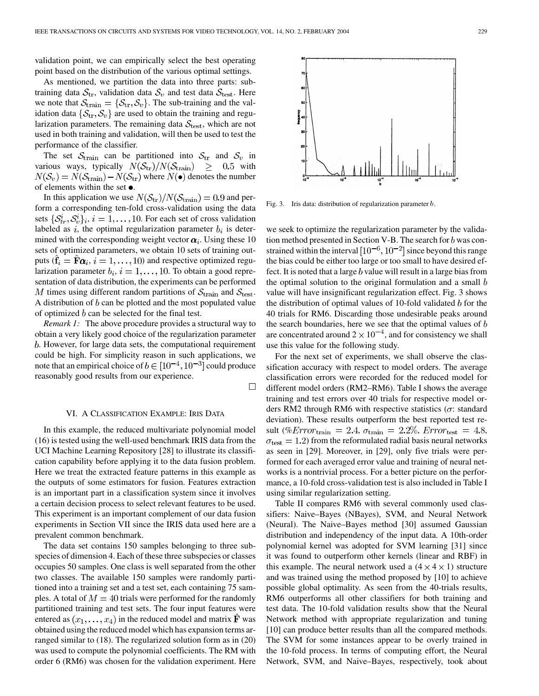validation point, we can empirically select the best operating point based on the distribution of the various optimal settings.

As mentioned, we partition the data into three parts: subtraining data  $S_{tr}$ , validation data  $S_{v}$  and test data  $S_{test}$ . Here we note that  $\mathcal{S}_{\text{train}} = \{ \mathcal{S}_{\text{tr}}, \mathcal{S}_{v} \}$ . The sub-training and the validation data  $\{S_{tr}, S_v\}$  are used to obtain the training and regularization parameters. The remaining data  $S_{\text{test}}$ , which are not used in both training and validation, will then be used to test the performance of the classifier.

The set  $S_{\text{train}}$  can be partitioned into  $S_{\text{tr}}$  and  $S_{v}$  in various ways, typically  $N(\mathcal{S}_{tr})/N(\mathcal{S}_{train}) \geq 0.5$  with  $N(S_v) = N(S_{\text{train}}) - N(S_{\text{tr}})$  where  $N(\bullet)$  denotes the number of elements within the set  $\bullet$ .

In this application we use  $N(\mathcal{S}_{tr})/N(\mathcal{S}_{train}) = 0.9$  and perform a corresponding ten-fold cross-validation using the data sets  $\{S_{tr}^i, S_v^i\}_i, i = 1, \ldots, 10$ . For each set of cross validation labeled as i, the optimal regularization parameter  $b_i$  is determined with the corresponding weight vector  $\alpha_i$ . Using these 10 sets of optimized parameters, we obtain 10 sets of training outputs ( $\hat{\mathbf{f}}_i = \hat{\mathbf{F}} \alpha_i$ ,  $i = 1, ..., 10$ ) and respective optimized regularization parameter  $b_i$ ,  $i = 1, ..., 10$ . To obtain a good representation of data distribution, the experiments can be performed M times using different random partitions of  $S_{\text{train}}$  and  $S_{\text{test}}$ . A distribution of  $b$  can be plotted and the most populated value of optimized  $b$  can be selected for the final test.

*Remark 1:* The above procedure provides a structural way to obtain a very likely good choice of the regularization parameter . However, for large data sets, the computational requirement could be high. For simplicity reason in such applications, we note that an empirical choice of  $b \in [10^{-4}, 10^{-3}]$  could produce reasonably good results from our experience.

## $\Box$

#### VI. A CLASSIFICATION EXAMPLE: IRIS DATA

In this example, the reduced multivariate polynomial model (16) is tested using the well-used benchmark IRIS data from the UCI Machine Learning Repository [\[28](#page-9-0)] to illustrate its classification capability before applying it to the data fusion problem. Here we treat the extracted feature patterns in this example as the outputs of some estimators for fusion. Features extraction is an important part in a classification system since it involves a certain decision process to select relevant features to be used. This experiment is an important complement of our data fusion experiments in Section VII since the IRIS data used here are a prevalent common benchmark.

The data set contains 150 samples belonging to three subspecies of dimension 4. Each of these three subspecies or classes occupies 50 samples. One class is well separated from the other two classes. The available 150 samples were randomly partitioned into a training set and a test set, each containing 75 samples. A total of  $M = 40$  trials were performed for the randomly partitioned training and test sets. The four input features were entered as  $(x_1, \ldots, x_4)$  in the reduced model and matrix **F** was obtained using the reduced model which has expansion terms arranged similar to (18). The regularized solution form as in (20) was used to compute the polynomial coefficients. The RM with order 6 (RM6) was chosen for the validation experiment. Here



For the next set of experiments, we shall observe the classification accuracy with respect to model orders. The average classification errors were recorded for the reduced model for different model orders (RM2–RM6). Table I shows the average training and test errors over 40 trials for respective model orders RM2 through RM6 with respective statistics ( $\sigma$ : standard deviation). These results outperform the best reported test result (%Erro $r_{\text{train}} = 2.4$ ,  $\sigma_{\text{train}} = 2.2\%$ , Erro $r_{\text{test}} = 4.8$ ,  $\sigma_{\text{test}} = 1.2$ ) from the reformulated radial basis neural networks as seen in [\[29](#page-9-0)]. Moreover, in [[29\]](#page-9-0), only five trials were performed for each averaged error value and training of neural networks is a nontrivial process. For a better picture on the performance, a 10-fold cross-validation test is also included in Table I using similar regularization setting.

Table II compares RM6 with several commonly used classifiers: Naive–Bayes (NBayes), SVM, and Neural Network (Neural). The Naive–Bayes method [[30\]](#page-9-0) assumed Gaussian distribution and independency of the input data. A 10th-order polynomial kernel was adopted for SVM learning [\[31](#page-9-0)] since it was found to outperform other kernels (linear and RBF) in this example. The neural network used a  $(4 \times 4 \times 1)$  structure and was trained using the method proposed by [[10\]](#page-9-0) to achieve possible global optimality. As seen from the 40-trials results, RM6 outperforms all other classifiers for both training and test data. The 10-fold validation results show that the Neural Network method with appropriate regularization and tuning [[10\]](#page-9-0) can produce better results than all the compared methods. The SVM for some instances appear to be overly trained in the 10-fold process. In terms of computing effort, the Neural Network, SVM, and Naive–Bayes, respectively, took about



Fig. 3. Iris data: distribution of regularization parameter b.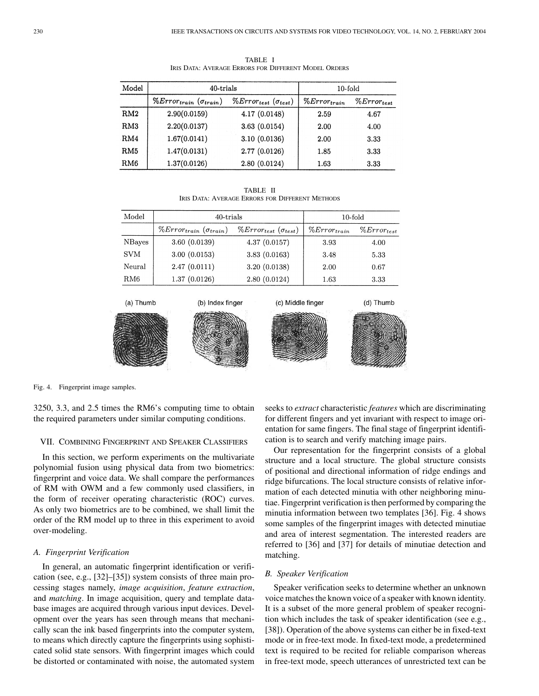| Model | 40-trials                        |                                | 10-fold           |                  |
|-------|----------------------------------|--------------------------------|-------------------|------------------|
|       | $%Error_{train}(\sigma_{train})$ | $%Error_{test}(\sigma_{test})$ | $\%Error_{train}$ | $\%Error_{test}$ |
| RM2   | 2.90(0.0159)                     | 4.17(0.0148)                   | 2.59              | 4.67             |
| RM3   | 2.20(0.0137)                     | 3.63(0.0154)                   | 2.00              | 4.00             |
| RM4   | 1.67(0.0141)                     | 3.10 (0.0136)                  | 2.00              | 3.33             |
| RM5   | 1.47(0.0131)                     | 2.77(0.0126)                   | 1.85              | 3.33             |
| RM6   | 1.37(0.0126)                     | 2.80(0.0124)                   | 1.63              | 3.33             |

TABLE I IRIS DATA: AVERAGE ERRORS FOR DIFFERENT MODEL ORDERS

TABLE II IRIS DATA: AVERAGE ERRORS FOR DIFFERENT METHODS

| Model           | $40$ -trials                      |                                 | $10$ -fold        |                  |
|-----------------|-----------------------------------|---------------------------------|-------------------|------------------|
|                 | $\%Error_{train}(\sigma_{train})$ | $\%Error_{test}(\sigma_{test})$ | $\%Error_{train}$ | $\%Error_{test}$ |
| <b>NBayes</b>   | 3.60(0.0139)                      | 4.37(0.0157)                    | 3.93              | 4.00             |
| <b>SVM</b>      | 3.00(0.0153)                      | 3.83(0.0163)                    | 3.48              | 5.33             |
| Neural          | 2.47(0.0111)                      | 3.20(0.0138)                    | 2.00              | 0.67             |
| RM <sub>6</sub> | 1.37(0.0126)                      | 2.80(0.0124)                    | 1.63              | 3.33             |
|                 |                                   |                                 |                   |                  |



Fig. 4. Fingerprint image samples.

3250, 3.3, and 2.5 times the RM6's computing time to obtain the required parameters under similar computing conditions.

#### VII. COMBINING FINGERPRINT AND SPEAKER CLASSIFIERS

In this section, we perform experiments on the multivariate polynomial fusion using physical data from two biometrics: fingerprint and voice data. We shall compare the performances of RM with OWM and a few commonly used classifiers, in the form of receiver operating characteristic (ROC) curves. As only two biometrics are to be combined, we shall limit the order of the RM model up to three in this experiment to avoid over-modeling.

#### *A. Fingerprint Verification*

In general, an automatic fingerprint identification or verification (see, e.g., [[32\]](#page-9-0)–[\[35](#page-9-0)]) system consists of three main processing stages namely, *image acquisition*, *feature extraction*, and *matching*. In image acquisition, query and template database images are acquired through various input devices. Development over the years has seen through means that mechanically scan the ink based fingerprints into the computer system, to means which directly capture the fingerprints using sophisticated solid state sensors. With fingerprint images which could be distorted or contaminated with noise, the automated system seeks to *extract* characteristic *features* which are discriminating for different fingers and yet invariant with respect to image orientation for same fingers. The final stage of fingerprint identification is to search and verify matching image pairs.

Our representation for the fingerprint consists of a global structure and a local structure. The global structure consists of positional and directional information of ridge endings and ridge bifurcations. The local structure consists of relative information of each detected minutia with other neighboring minutiae. Fingerprint verification is then performed by comparing the minutia information between two templates [\[36](#page-9-0)]. Fig. 4 shows some samples of the fingerprint images with detected minutiae and area of interest segmentation. The interested readers are referred to [\[36](#page-9-0)] and [[37\]](#page-9-0) for details of minutiae detection and matching.

## *B. Speaker Verification*

Speaker verification seeks to determine whether an unknown voice matches the known voice of a speaker with known identity. It is a subset of the more general problem of speaker recognition which includes the task of speaker identification (see e.g., [\[38](#page-9-0)]). Operation of the above systems can either be in fixed-text mode or in free-text mode. In fixed-text mode, a predetermined text is required to be recited for reliable comparison whereas in free-text mode, speech utterances of unrestricted text can be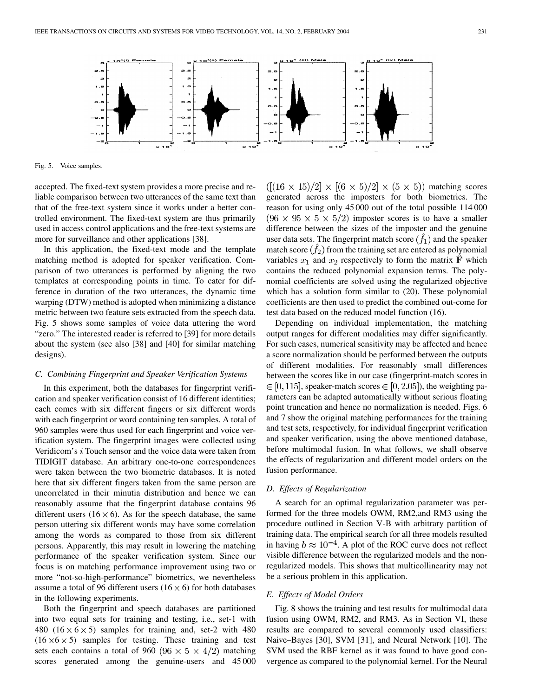

Fig. 5. Voice samples.

accepted. The fixed-text system provides a more precise and reliable comparison between two utterances of the same text than that of the free-text system since it works under a better controlled environment. The fixed-text system are thus primarily used in access control applications and the free-text systems are more for surveillance and other applications [[38\]](#page-9-0).

In this application, the fixed-text mode and the template matching method is adopted for speaker verification. Comparison of two utterances is performed by aligning the two templates at corresponding points in time. To cater for difference in duration of the two utterances, the dynamic time warping (DTW) method is adopted when minimizing a distance metric between two feature sets extracted from the speech data. Fig. 5 shows some samples of voice data uttering the word "zero." The interested reader is referred to [\[39](#page-9-0)] for more details about the system (see also [\[38](#page-9-0)] and [\[40](#page-9-0)] for similar matching designs).

#### *C. Combining Fingerprint and Speaker Verification Systems*

In this experiment, both the databases for fingerprint verification and speaker verification consist of 16 different identities; each comes with six different fingers or six different words with each fingerprint or word containing ten samples. A total of 960 samples were thus used for each fingerprint and voice verification system. The fingerprint images were collected using Veridicom's  $i$  Touch sensor and the voice data were taken from TIDIGIT database. An arbitrary one-to-one correspondences were taken between the two biometric databases. It is noted here that six different fingers taken from the same person are uncorrelated in their minutia distribution and hence we can reasonably assume that the fingerprint database contains 96 different users  $(16 \times 6)$ . As for the speech database, the same person uttering six different words may have some correlation among the words as compared to those from six different persons. Apparently, this may result in lowering the matching performance of the speaker verification system. Since our focus is on matching performance improvement using two or more "not-so-high-performance" biometrics, we nevertheless assume a total of 96 different users  $(16 \times 6)$  for both databases in the following experiments.

Both the fingerprint and speech databases are partitioned into two equal sets for training and testing, i.e., set-1 with 480 (16  $\times$  6  $\times$  5) samples for training and, set-2 with 480  $(16 \times 6 \times 5)$  samples for testing. These training and test sets each contains a total of 960 (96  $\times$  5  $\times$  4/2) matching scores generated among the genuine-users and 45 000  $([ (16 \times 15)/2] \times [ (6 \times 5)/2] \times (5 \times 5))$  matching scores generated across the imposters for both biometrics. The reason for using only 45 000 out of the total possible 114 000  $(96 \times 95 \times 5 \times 5/2)$  imposter scores is to have a smaller difference between the sizes of the imposter and the genuine user data sets. The fingerprint match score  $(f_1)$  and the speaker match score  $f_2$  from the training set are entered as polynomial variables  $x_1$  and  $x_2$  respectively to form the matrix  $\ddot{F}$  which contains the reduced polynomial expansion terms. The polynomial coefficients are solved using the regularized objective which has a solution form similar to (20). These polynomial coefficients are then used to predict the combined out-come for test data based on the reduced model function (16).

Depending on individual implementation, the matching output ranges for different modalities may differ significantly. For such cases, numerical sensitivity may be affected and hence a score normalization should be performed between the outputs of different modalities. For reasonably small differences between the scores like in our case (fingerprint-match scores in  $\in [0, 115]$ , speaker-match scores  $\in [0, 2.05]$ ), the weighting parameters can be adapted automatically without serious floating point truncation and hence no normalization is needed. Figs. 6 and 7 show the original matching performances for the training and test sets, respectively, for individual fingerprint verification and speaker verification, using the above mentioned database, before multimodal fusion. In what follows, we shall observe the effects of regularization and different model orders on the fusion performance.

#### *D. Effects of Regularization*

A search for an optimal regularization parameter was performed for the three models OWM, RM2,and RM3 using the procedure outlined in Section V-B with arbitrary partition of training data. The empirical search for all three models resulted in having  $b \approx 10^{-4}$ . A plot of the ROC curve does not reflect visible difference between the regularized models and the nonregularized models. This shows that multicollinearity may not be a serious problem in this application.

## *E. Effects of Model Orders*

Fig. 8 shows the training and test results for multimodal data fusion using OWM, RM2, and RM3. As in Section VI, these results are compared to several commonly used classifiers: Naive–Bayes [\[30](#page-9-0)], SVM [[31\]](#page-9-0), and Neural Network [[10\]](#page-9-0). The SVM used the RBF kernel as it was found to have good convergence as compared to the polynomial kernel. For the Neural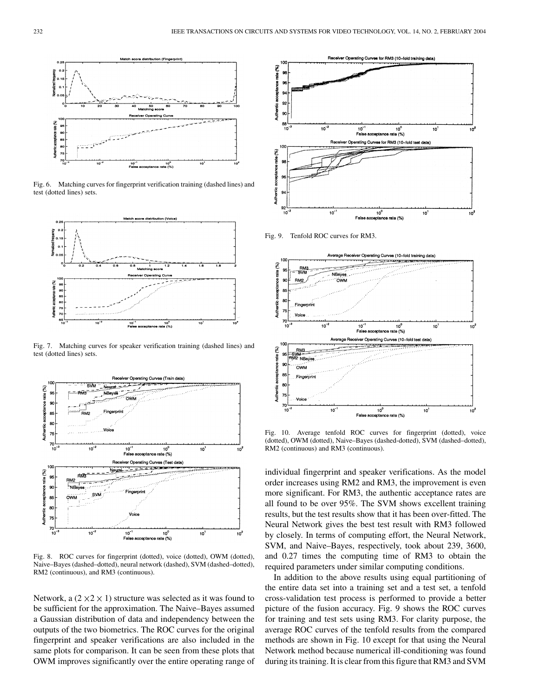

Fig. 6. Matching curves for fingerprint verification training (dashed lines) and test (dotted lines) sets.



Fig. 7. Matching curves for speaker verification training (dashed lines) and test (dotted lines) sets.



Fig. 8. ROC curves for fingerprint (dotted), voice (dotted), OWM (dotted), Naive–Bayes (dashed–dotted), neural network (dashed), SVM (dashed–dotted), RM2 (continuous), and RM3 (continuous).

Network, a  $(2 \times 2 \times 1)$  structure was selected as it was found to be sufficient for the approximation. The Naive–Bayes assumed a Gaussian distribution of data and independency between the outputs of the two biometrics. The ROC curves for the original fingerprint and speaker verifications are also included in the same plots for comparison. It can be seen from these plots that OWM improves significantly over the entire operating range of



Fig. 9. Tenfold ROC curves for RM3.



Fig. 10. Average tenfold ROC curves for fingerprint (dotted), voice (dotted), OWM (dotted), Naive–Bayes (dashed-dotted), SVM (dashed–dotted), RM2 (continuous) and RM3 (continuous).

individual fingerprint and speaker verifications. As the model order increases using RM2 and RM3, the improvement is even more significant. For RM3, the authentic acceptance rates are all found to be over 95%. The SVM shows excellent training results, but the test results show that it has been over-fitted. The Neural Network gives the best test result with RM3 followed by closely. In terms of computing effort, the Neural Network, SVM, and Naive–Bayes, respectively, took about 239, 3600, and 0.27 times the computing time of RM3 to obtain the required parameters under similar computing conditions.

In addition to the above results using equal partitioning of the entire data set into a training set and a test set, a tenfold cross-validation test process is performed to provide a better picture of the fusion accuracy. Fig. 9 shows the ROC curves for training and test sets using RM3. For clarity purpose, the average ROC curves of the tenfold results from the compared methods are shown in Fig. 10 except for that using the Neural Network method because numerical ill-conditioning was found during its training. It is clear from this figure that RM3 and SVM